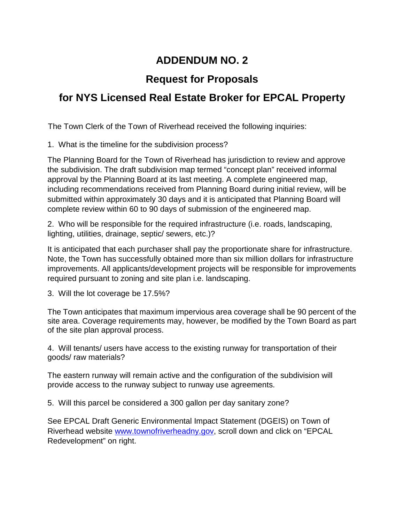## **ADDENDUM NO. 2**

## **Request for Proposals**

## **for NYS Licensed Real Estate Broker for EPCAL Property**

The Town Clerk of the Town of Riverhead received the following inquiries:

1. What is the timeline for the subdivision process?

The Planning Board for the Town of Riverhead has jurisdiction to review and approve the subdivision. The draft subdivision map termed "concept plan" received informal approval by the Planning Board at its last meeting. A complete engineered map, including recommendations received from Planning Board during initial review, will be submitted within approximately 30 days and it is anticipated that Planning Board will complete review within 60 to 90 days of submission of the engineered map.

2. Who will be responsible for the required infrastructure (i.e. roads, landscaping, lighting, utilities, drainage, septic/ sewers, etc.)?

It is anticipated that each purchaser shall pay the proportionate share for infrastructure. Note, the Town has successfully obtained more than six million dollars for infrastructure improvements. All applicants/development projects will be responsible for improvements required pursuant to zoning and site plan i.e. landscaping.

3. Will the lot coverage be 17.5%?

The Town anticipates that maximum impervious area coverage shall be 90 percent of the site area. Coverage requirements may, however, be modified by the Town Board as part of the site plan approval process.

4. Will tenants/ users have access to the existing runway for transportation of their goods/ raw materials?

The eastern runway will remain active and the configuration of the subdivision will provide access to the runway subject to runway use agreements.

5. Will this parcel be considered a 300 gallon per day sanitary zone?

See EPCAL Draft Generic Environmental Impact Statement (DGEIS) on Town of Riverhead website [www.townofriverheadny.gov,](http://www.townofriverheadny.gov/) scroll down and click on "EPCAL Redevelopment" on right.